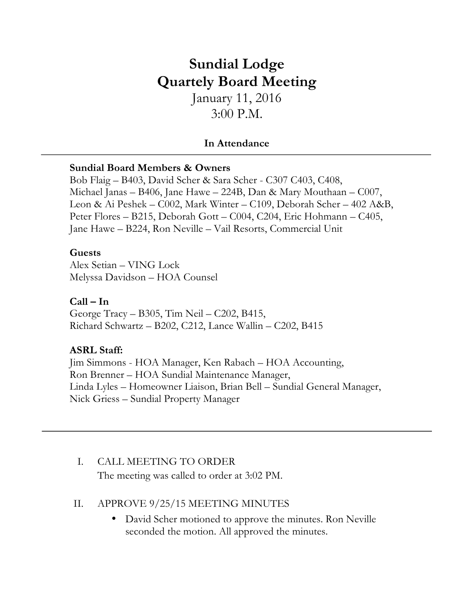# **Sundial Lodge Quartely Board Meeting**

January 11, 2016 3:00 P.M.

## **In Attendance**

#### **Sundial Board Members & Owners**

Bob Flaig – B403, David Scher & Sara Scher - C307 C403, C408, Michael Janas – B406, Jane Hawe – 224B, Dan & Mary Mouthaan – C007, Leon & Ai Peshek – C002, Mark Winter – C109, Deborah Scher – 402 A&B, Peter Flores – B215, Deborah Gott – C004, C204, Eric Hohmann – C405, Jane Hawe – B224, Ron Neville – Vail Resorts, Commercial Unit

## **Guests**

Alex Setian – VING Lock Melyssa Davidson – HOA Counsel

#### **Call – In**

George Tracy – B305, Tim Neil – C202, B415, Richard Schwartz – B202, C212, Lance Wallin – C202, B415

## **ASRL Staff:**

Jim Simmons - HOA Manager, Ken Rabach – HOA Accounting, Ron Brenner – HOA Sundial Maintenance Manager, Linda Lyles – Homeowner Liaison, Brian Bell – Sundial General Manager, Nick Griess – Sundial Property Manager

## I. CALL MEETING TO ORDER

The meeting was called to order at 3:02 PM.

## II. APPROVE 9/25/15 MEETING MINUTES

• David Scher motioned to approve the minutes. Ron Neville seconded the motion. All approved the minutes.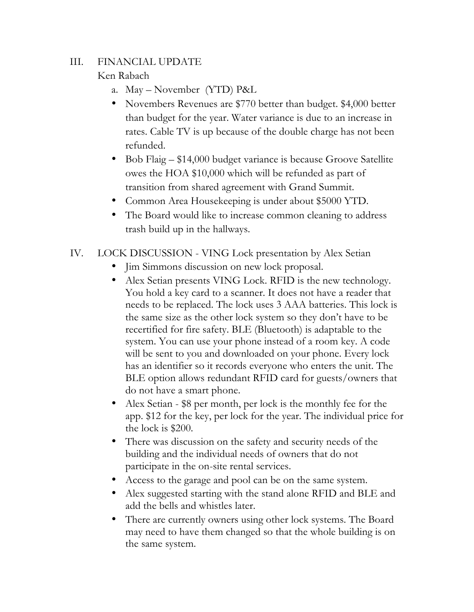## III. FINANCIAL UPDATE

## Ken Rabach

- a. May November (YTD) P&L
- Novembers Revenues are \$770 better than budget. \$4,000 better than budget for the year. Water variance is due to an increase in rates. Cable TV is up because of the double charge has not been refunded.
- Bob Flaig \$14,000 budget variance is because Groove Satellite owes the HOA \$10,000 which will be refunded as part of transition from shared agreement with Grand Summit.
- Common Area Housekeeping is under about \$5000 YTD.
- The Board would like to increase common cleaning to address trash build up in the hallways.
- IV. LOCK DISCUSSION VING Lock presentation by Alex Setian
	- Jim Simmons discussion on new lock proposal.
	- Alex Setian presents VING Lock. RFID is the new technology. You hold a key card to a scanner. It does not have a reader that needs to be replaced. The lock uses 3 AAA batteries. This lock is the same size as the other lock system so they don't have to be recertified for fire safety. BLE (Bluetooth) is adaptable to the system. You can use your phone instead of a room key. A code will be sent to you and downloaded on your phone. Every lock has an identifier so it records everyone who enters the unit. The BLE option allows redundant RFID card for guests/owners that do not have a smart phone.
	- Alex Setian \$8 per month, per lock is the monthly fee for the app. \$12 for the key, per lock for the year. The individual price for the lock is \$200.
	- There was discussion on the safety and security needs of the building and the individual needs of owners that do not participate in the on-site rental services.
	- Access to the garage and pool can be on the same system.
	- Alex suggested starting with the stand alone RFID and BLE and add the bells and whistles later.
	- There are currently owners using other lock systems. The Board may need to have them changed so that the whole building is on the same system.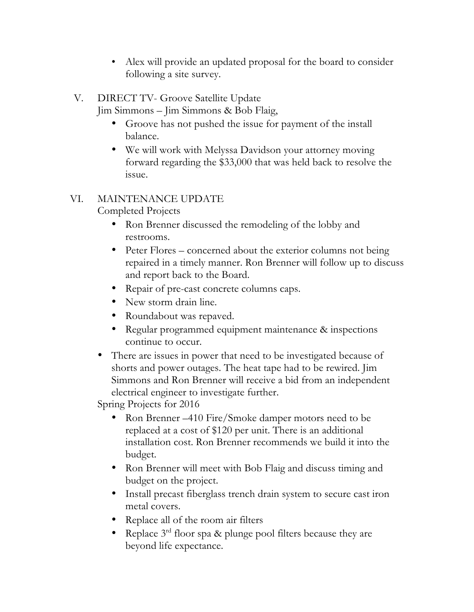- Alex will provide an updated proposal for the board to consider following a site survey.
- V. DIRECT TV- Groove Satellite Update Jim Simmons – Jim Simmons & Bob Flaig,
	- Groove has not pushed the issue for payment of the install balance.
	- We will work with Melyssa Davidson your attorney moving forward regarding the \$33,000 that was held back to resolve the issue.

# VI. MAINTENANCE UPDATE

Completed Projects

- Ron Brenner discussed the remodeling of the lobby and restrooms.
- Peter Flores concerned about the exterior columns not being repaired in a timely manner. Ron Brenner will follow up to discuss and report back to the Board.
- Repair of pre-cast concrete columns caps.
- New storm drain line.
- Roundabout was repaved.
- Regular programmed equipment maintenance & inspections continue to occur.
- There are issues in power that need to be investigated because of shorts and power outages. The heat tape had to be rewired. Jim Simmons and Ron Brenner will receive a bid from an independent electrical engineer to investigate further.

Spring Projects for 2016

- Ron Brenner –410 Fire/Smoke damper motors need to be replaced at a cost of \$120 per unit. There is an additional installation cost. Ron Brenner recommends we build it into the budget.
- Ron Brenner will meet with Bob Flaig and discuss timing and budget on the project.
- Install precast fiberglass trench drain system to secure cast iron metal covers.
- Replace all of the room air filters
- Replace  $3<sup>rd</sup>$  floor spa & plunge pool filters because they are beyond life expectance.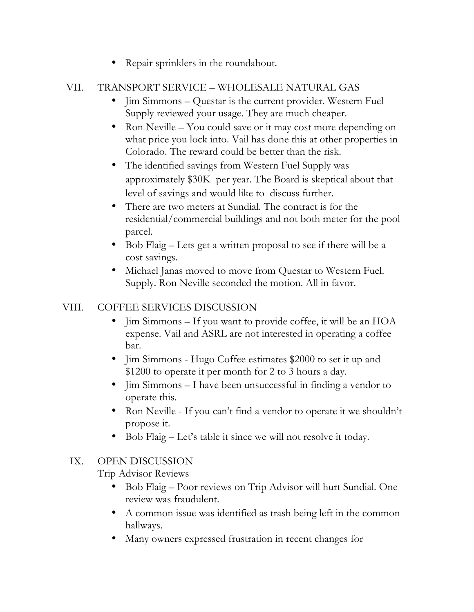• Repair sprinklers in the roundabout.

# VII. TRANSPORT SERVICE – WHOLESALE NATURAL GAS

- Jim Simmons Questar is the current provider. Western Fuel Supply reviewed your usage. They are much cheaper.
- Ron Neville You could save or it may cost more depending on what price you lock into. Vail has done this at other properties in Colorado. The reward could be better than the risk.
- The identified savings from Western Fuel Supply was approximately \$30K per year. The Board is skeptical about that level of savings and would like to discuss further.
- There are two meters at Sundial. The contract is for the residential/commercial buildings and not both meter for the pool parcel.
- Bob Flaig Lets get a written proposal to see if there will be a cost savings.
- Michael Janas moved to move from Questar to Western Fuel. Supply. Ron Neville seconded the motion. All in favor.

## VIII. COFFEE SERVICES DISCUSSION

- Jim Simmons If you want to provide coffee, it will be an HOA expense. Vail and ASRL are not interested in operating a coffee bar.
- Iim Simmons Hugo Coffee estimates \$2000 to set it up and \$1200 to operate it per month for 2 to 3 hours a day.
- Jim Simmons I have been unsuccessful in finding a vendor to operate this.
- Ron Neville If you can't find a vendor to operate it we shouldn't propose it.
- Bob Flaig Let's table it since we will not resolve it today.

## IX. OPEN DISCUSSION

Trip Advisor Reviews

- Bob Flaig Poor reviews on Trip Advisor will hurt Sundial. One review was fraudulent.
- A common issue was identified as trash being left in the common hallways.
- Many owners expressed frustration in recent changes for